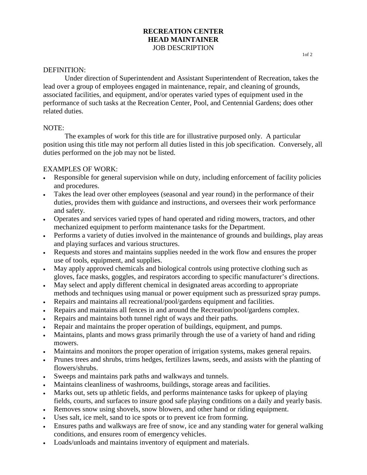# **RECREATION CENTER HEAD MAINTAINER** JOB DESCRIPTION 10f 2

#### DEFINITION:

Under direction of Superintendent and Assistant Superintendent of Recreation, takes the lead over a group of employees engaged in maintenance, repair, and cleaning of grounds, associated facilities, and equipment, and/or operates varied types of equipment used in the performance of such tasks at the Recreation Center, Pool, and Centennial Gardens; does other related duties.

#### NOTE:

The examples of work for this title are for illustrative purposed only. A particular position using this title may not perform all duties listed in this job specification. Conversely, all duties performed on the job may not be listed.

### EXAMPLES OF WORK:

- Responsible for general supervision while on duty, including enforcement of facility policies and procedures.
- Takes the lead over other employees (seasonal and year round) in the performance of their duties, provides them with guidance and instructions, and oversees their work performance and safety.
- Operates and services varied types of hand operated and riding mowers, tractors, and other mechanized equipment to perform maintenance tasks for the Department.
- Performs a variety of duties involved in the maintenance of grounds and buildings, play areas and playing surfaces and various structures.
- Requests and stores and maintains supplies needed in the work flow and ensures the proper use of tools, equipment, and supplies.
- May apply approved chemicals and biological controls using protective clothing such as gloves, face masks, goggles, and respirators according to specific manufacturer's directions.
- May select and apply different chemical in designated areas according to appropriate methods and techniques using manual or power equipment such as pressurized spray pumps.
- Repairs and maintains all recreational/pool/gardens equipment and facilities.
- Repairs and maintains all fences in and around the Recreation/pool/gardens complex.
- Repairs and maintains both tunnel right of ways and their paths.
- Repair and maintains the proper operation of buildings, equipment, and pumps.
- Maintains, plants and mows grass primarily through the use of a variety of hand and riding mowers.
- Maintains and monitors the proper operation of irrigation systems, makes general repairs.
- Prunes trees and shrubs, trims hedges, fertilizes lawns, seeds, and assists with the planting of flowers/shrubs.
- Sweeps and maintains park paths and walkways and tunnels.
- Maintains cleanliness of washrooms, buildings, storage areas and facilities.
- Marks out, sets up athletic fields, and performs maintenance tasks for upkeep of playing fields, courts, and surfaces to insure good safe playing conditions on a daily and yearly basis.
- Removes snow using shovels, snow blowers, and other hand or riding equipment.
- Uses salt, ice melt, sand to ice spots or to prevent ice from forming.
- Ensures paths and walkways are free of snow, ice and any standing water for general walking conditions, and ensures room of emergency vehicles.
- Loads/unloads and maintains inventory of equipment and materials.